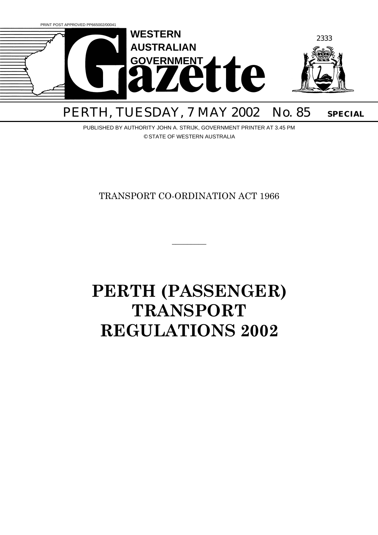

# PERTH, TUESDAY, 7 MAY 2002 No. 85 SPECIAL

PUBLISHED BY AUTHORITY JOHN A. STRIJK, GOVERNMENT PRINTER AT 3.45 PM © STATE OF WESTERN AUSTRALIA

TRANSPORT CO-ORDINATION ACT 1966

 $\overline{\phantom{a}}$ 

# **PERTH (PASSENGER) TRANSPORT REGULATIONS 2002**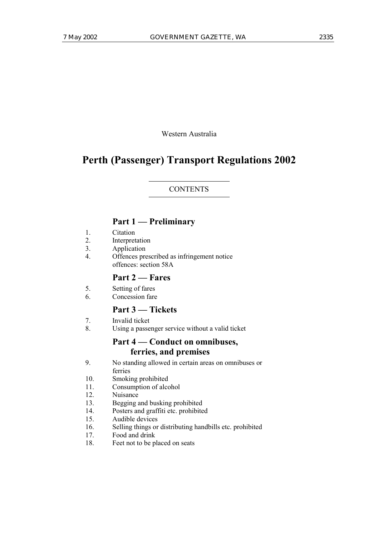Western Australia

# **Perth (Passenger) Transport Regulations 2002**

#### **CONTENTS**

## **Part 1 – Preliminary**

- 1. Citation
- 2. Interpretation
- 3. Application
- 4. Offences prescribed as infringement notice offences: section 58A

## **Part 2 – Fares**

- 5. Setting of fares
- 6. Concession fare

## **Part 3 – Tickets**

- 7. Invalid ticket
- 8. Using a passenger service without a valid ticket

# Part 4 – Conduct on omnibuses, **ferries, and premises**

- 9. No standing allowed in certain areas on omnibuses or ferries
- 10. Smoking prohibited
- 11. Consumption of alcohol
- 12. Nuisance
- 13. Begging and busking prohibited
- 14. Posters and graffiti etc. prohibited
- 15. Audible devices
- 16. Selling things or distributing handbills etc. prohibited
- 17. Food and drink
- 18. Feet not to be placed on seats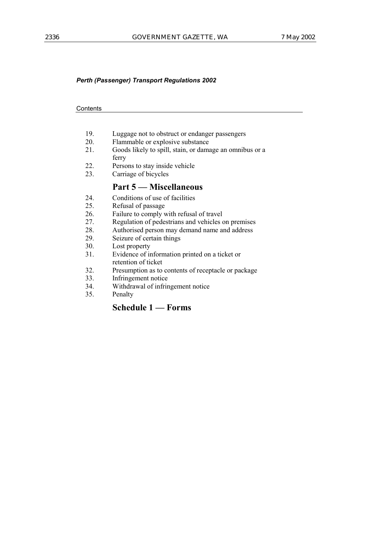#### **Contents**

- 19. Luggage not to obstruct or endanger passengers
- 20. Flammable or explosive substance<br>21 Goods likely to spill, stain, or dama
- Goods likely to spill, stain, or damage an omnibus or a ferry
- 22. Persons to stay inside vehicle
- 23. Carriage of bicycles

## **Part 5 – Miscellaneous**

- 24. Conditions of use of facilities
- 25. Refusal of passage
- 26. Failure to comply with refusal of travel
- 27. Regulation of pedestrians and vehicles on premises
- 28. Authorised person may demand name and address
- 29. Seizure of certain things
- 30. Lost property
- 31. Evidence of information printed on a ticket or retention of ticket
- 32. Presumption as to contents of receptacle or package
- 33. Infringement notice
- 34. Withdrawal of infringement notice
- 35. Penalty

## **Schedule 1 – Forms**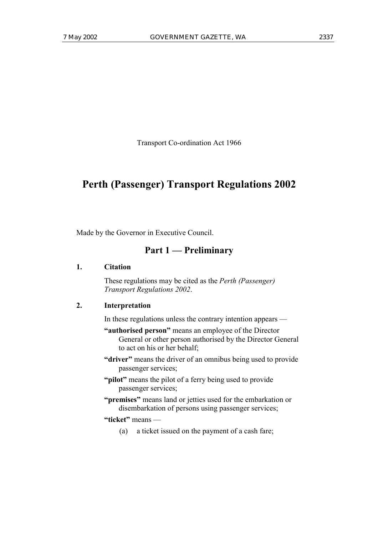Transport Co-ordination Act 1966

# **Perth (Passenger) Transport Regulations 2002**

Made by the Governor in Executive Council.

## Part 1 – Preliminary

## **1. Citation**

These regulations may be cited as the *Perth (Passenger) Transport Regulations 2002*.

## **2. Interpretation**

In these regulations unless the contrary intention appears  $\overline{\phantom{a}}$ 

- **"authorised person"** means an employee of the Director General or other person authorised by the Director General to act on his or her behalf;
- **"driver"** means the driver of an omnibus being used to provide passenger services;
- **"pilot"** means the pilot of a ferry being used to provide passenger services;
- **"premises"** means land or jetties used for the embarkation or disembarkation of persons using passenger services;

#### "ticket" means —

(a) a ticket issued on the payment of a cash fare;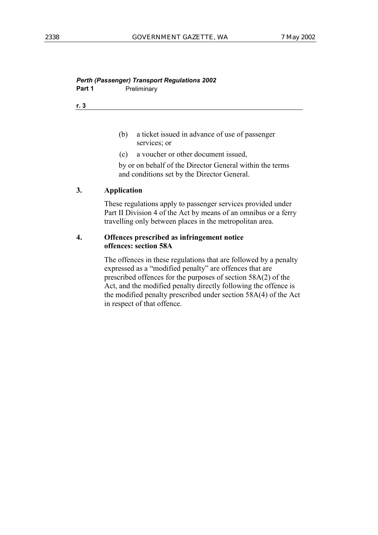## *Perth (Passenger) Transport Regulations 2002* **Part 1** Preliminary

**r. 3**

- (b) a ticket issued in advance of use of passenger services; or
- (c) a voucher or other document issued,

by or on behalf of the Director General within the terms and conditions set by the Director General.

## **3. Application**

These regulations apply to passenger services provided under Part II Division 4 of the Act by means of an omnibus or a ferry travelling only between places in the metropolitan area.

## **4. Offences prescribed as infringement notice offences: section 58A**

The offences in these regulations that are followed by a penalty expressed as a "modified penalty" are offences that are prescribed offences for the purposes of section 58A(2) of the Act, and the modified penalty directly following the offence is the modified penalty prescribed under section 58A(4) of the Act in respect of that offence.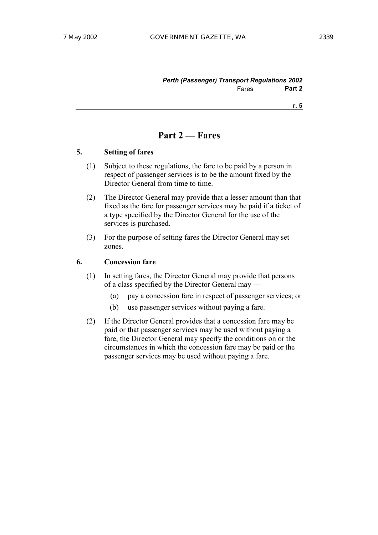| <b>Perth (Passenger) Transport Regulations 2002</b> |       |        |
|-----------------------------------------------------|-------|--------|
|                                                     | Fares | Part 2 |

**r. 5**

# **Part 2 – Fares**

#### **5. Setting of fares**

- (1) Subject to these regulations, the fare to be paid by a person in respect of passenger services is to be the amount fixed by the Director General from time to time.
- (2) The Director General may provide that a lesser amount than that fixed as the fare for passenger services may be paid if a ticket of a type specified by the Director General for the use of the services is purchased.
- (3) For the purpose of setting fares the Director General may set zones.

## **6. Concession fare**

- (1) In setting fares, the Director General may provide that persons of a class specified by the Director General may  $-$ 
	- (a) pay a concession fare in respect of passenger services; or
	- (b) use passenger services without paying a fare.
- (2) If the Director General provides that a concession fare may be paid or that passenger services may be used without paying a fare, the Director General may specify the conditions on or the circumstances in which the concession fare may be paid or the passenger services may be used without paying a fare.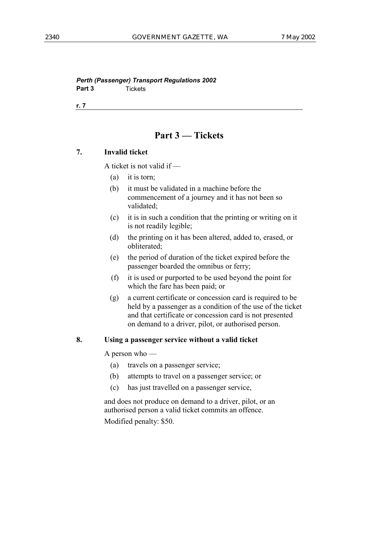*Perth (Passenger) Transport Regulations 2002* **Part 3** Tickets

**r. 7**

# **Part 3 – Tickets**

#### **7. Invalid ticket**

A ticket is not valid if  $-$ 

- (a) it is torn;
- (b) it must be validated in a machine before the commencement of a journey and it has not been so validated;
- (c) it is in such a condition that the printing or writing on it is not readily legible;
- (d) the printing on it has been altered, added to, erased, or obliterated;
- (e) the period of duration of the ticket expired before the passenger boarded the omnibus or ferry;
- (f) it is used or purported to be used beyond the point for which the fare has been paid; or
- (g) a current certificate or concession card is required to be held by a passenger as a condition of the use of the ticket and that certificate or concession card is not presented on demand to a driver, pilot, or authorised person.

## **8. Using a passenger service without a valid ticket**

A person who  $-$ 

- (a) travels on a passenger service;
- (b) attempts to travel on a passenger service; or
- (c) has just travelled on a passenger service,

and does not produce on demand to a driver, pilot, or an authorised person a valid ticket commits an offence.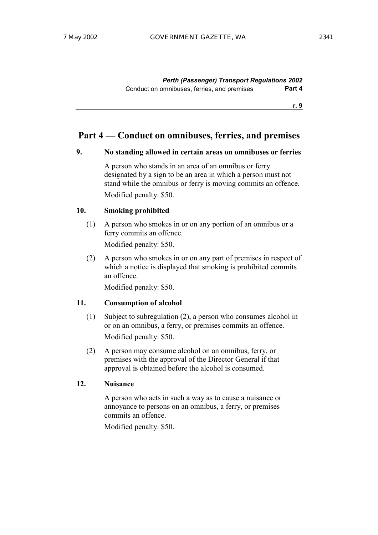*Perth (Passenger) Transport Regulations 2002* Conduct on omnibuses, ferries, and premises **Part 4**

**r. 9**

## Part 4 – Conduct on omnibuses, ferries, and premises

#### **9. No standing allowed in certain areas on omnibuses or ferries**

A person who stands in an area of an omnibus or ferry designated by a sign to be an area in which a person must not stand while the omnibus or ferry is moving commits an offence. Modified penalty: \$50.

#### **10. Smoking prohibited**

(1) A person who smokes in or on any portion of an omnibus or a ferry commits an offence.

Modified penalty: \$50.

(2) A person who smokes in or on any part of premises in respect of which a notice is displayed that smoking is prohibited commits an offence.

Modified penalty: \$50.

#### **11. Consumption of alcohol**

- (1) Subject to subregulation (2), a person who consumes alcohol in or on an omnibus, a ferry, or premises commits an offence. Modified penalty: \$50.
- (2) A person may consume alcohol on an omnibus, ferry, or premises with the approval of the Director General if that approval is obtained before the alcohol is consumed.

#### **12. Nuisance**

A person who acts in such a way as to cause a nuisance or annoyance to persons on an omnibus, a ferry, or premises commits an offence.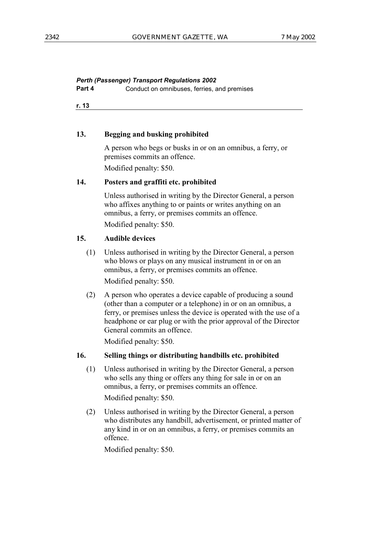**Part 4** Conduct on omnibuses, ferries, and premises

**r. 13**

#### **13. Begging and busking prohibited**

A person who begs or busks in or on an omnibus, a ferry, or premises commits an offence.

Modified penalty: \$50.

#### **14. Posters and graffiti etc. prohibited**

Unless authorised in writing by the Director General, a person who affixes anything to or paints or writes anything on an omnibus, a ferry, or premises commits an offence. Modified penalty: \$50.

### **15. Audible devices**

- (1) Unless authorised in writing by the Director General, a person who blows or plays on any musical instrument in or on an omnibus, a ferry, or premises commits an offence. Modified penalty: \$50.
- (2) A person who operates a device capable of producing a sound (other than a computer or a telephone) in or on an omnibus, a ferry, or premises unless the device is operated with the use of a headphone or ear plug or with the prior approval of the Director General commits an offence.

Modified penalty: \$50.

## **16. Selling things or distributing handbills etc. prohibited**

- (1) Unless authorised in writing by the Director General, a person who sells any thing or offers any thing for sale in or on an omnibus, a ferry, or premises commits an offence. Modified penalty: \$50.
- (2) Unless authorised in writing by the Director General, a person who distributes any handbill, advertisement, or printed matter of any kind in or on an omnibus, a ferry, or premises commits an offence.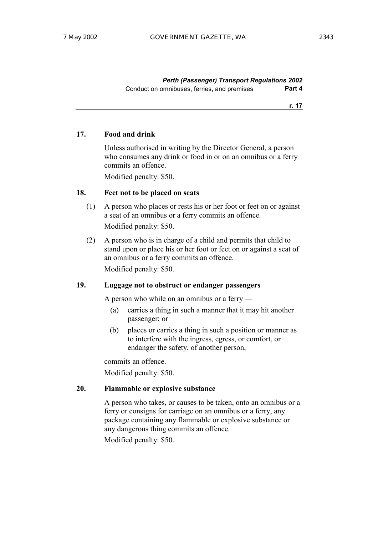*Perth (Passenger) Transport Regulations 2002* Conduct on omnibuses, ferries, and premises **Part 4**

**r. 17**

#### **17. Food and drink**

Unless authorised in writing by the Director General, a person who consumes any drink or food in or on an omnibus or a ferry commits an offence.

Modified penalty: \$50.

## **18. Feet not to be placed on seats**

- (1) A person who places or rests his or her foot or feet on or against a seat of an omnibus or a ferry commits an offence. Modified penalty: \$50.
- (2) A person who is in charge of a child and permits that child to stand upon or place his or her foot or feet on or against a seat of an omnibus or a ferry commits an offence.

Modified penalty: \$50.

## **19. Luggage not to obstruct or endanger passengers**

A person who while on an omnibus or a ferry  $\overline{\phantom{a}}$ 

- (a) carries a thing in such a manner that it may hit another passenger; or
- (b) places or carries a thing in such a position or manner as to interfere with the ingress, egress, or comfort, or endanger the safety, of another person,

commits an offence.

Modified penalty: \$50.

## **20. Flammable or explosive substance**

A person who takes, or causes to be taken, onto an omnibus or a ferry or consigns for carriage on an omnibus or a ferry, any package containing any flammable or explosive substance or any dangerous thing commits an offence.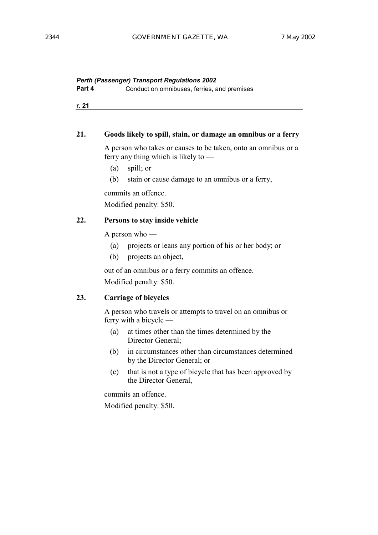```
Part 4 Conduct on omnibuses, ferries, and premises
```
**r. 21**

#### **21. Goods likely to spill, stain, or damage an omnibus or a ferry**

A person who takes or causes to be taken, onto an omnibus or a ferry any thing which is likely to  $\sim$ 

- (a) spill; or
- (b) stain or cause damage to an omnibus or a ferry,

commits an offence.

Modified penalty: \$50.

## **22. Persons to stay inside vehicle**

A person who  $-$ 

- (a) projects or leans any portion of his or her body; or
- (b) projects an object,

out of an omnibus or a ferry commits an offence. Modified penalty: \$50.

## **23. Carriage of bicycles**

A person who travels or attempts to travel on an omnibus or ferry with a bicycle  $-$ 

- (a) at times other than the times determined by the Director General;
- (b) in circumstances other than circumstances determined by the Director General; or
- (c) that is not a type of bicycle that has been approved by the Director General,

commits an offence. Modified penalty: \$50.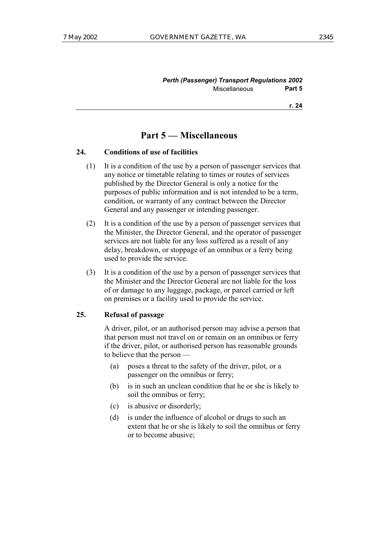| <b>Perth (Passenger) Transport Regulations 2002</b> |        |
|-----------------------------------------------------|--------|
| <b>Miscellaneous</b>                                | Part 5 |

**r. 24**

## **Part 5 – Miscellaneous**

#### **24. Conditions of use of facilities**

- (1) It is a condition of the use by a person of passenger services that any notice or timetable relating to times or routes of services published by the Director General is only a notice for the purposes of public information and is not intended to be a term, condition, or warranty of any contract between the Director General and any passenger or intending passenger.
- (2) It is a condition of the use by a person of passenger services that the Minister, the Director General, and the operator of passenger services are not liable for any loss suffered as a result of any delay, breakdown, or stoppage of an omnibus or a ferry being used to provide the service.
- (3) It is a condition of the use by a person of passenger services that the Minister and the Director General are not liable for the loss of or damage to any luggage, package, or parcel carried or left on premises or a facility used to provide the service.

#### **25. Refusal of passage**

A driver, pilot, or an authorised person may advise a person that that person must not travel on or remain on an omnibus or ferry if the driver, pilot, or authorised person has reasonable grounds to believe that the person  $-$ 

- (a) poses a threat to the safety of the driver, pilot, or a passenger on the omnibus or ferry;
- (b) is in such an unclean condition that he or she is likely to soil the omnibus or ferry;
- (c) is abusive or disorderly;
- (d) is under the influence of alcohol or drugs to such an extent that he or she is likely to soil the omnibus or ferry or to become abusive;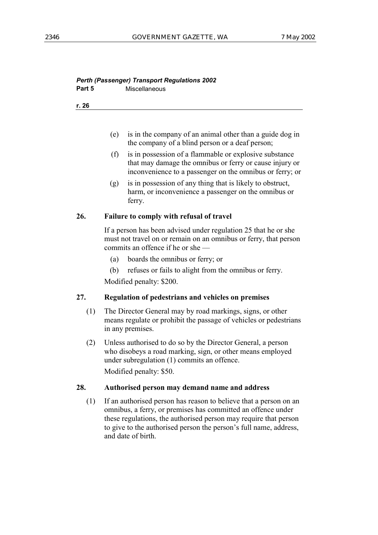## *Perth (Passenger) Transport Regulations 2002* **Part 5** Miscellaneous

**r. 26**

- (e) is in the company of an animal other than a guide dog in the company of a blind person or a deaf person;
- (f) is in possession of a flammable or explosive substance that may damage the omnibus or ferry or cause injury or inconvenience to a passenger on the omnibus or ferry; or
- (g) is in possession of any thing that is likely to obstruct, harm, or inconvenience a passenger on the omnibus or ferry.

#### **26. Failure to comply with refusal of travel**

If a person has been advised under regulation 25 that he or she must not travel on or remain on an omnibus or ferry, that person commits an offence if he or she  $-$ 

- (a) boards the omnibus or ferry; or
- (b) refuses or fails to alight from the omnibus or ferry.

Modified penalty: \$200.

## **27. Regulation of pedestrians and vehicles on premises**

- (1) The Director General may by road markings, signs, or other means regulate or prohibit the passage of vehicles or pedestrians in any premises.
- (2) Unless authorised to do so by the Director General, a person who disobeys a road marking, sign, or other means employed under subregulation (1) commits an offence. Modified penalty: \$50.

#### **28. Authorised person may demand name and address**

(1) If an authorised person has reason to believe that a person on an omnibus, a ferry, or premises has committed an offence under these regulations, the authorised person may require that person to give to the authorised person the person's full name, address, and date of birth.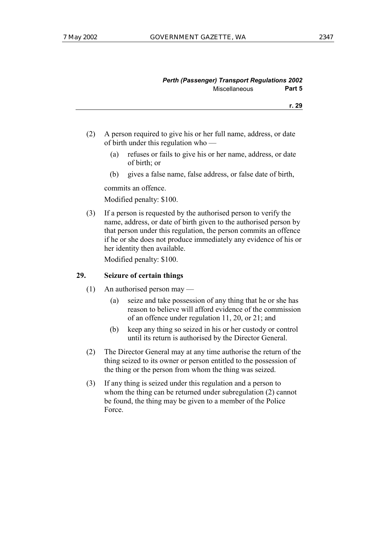| ×.<br>×<br>۰. |
|---------------|
|               |

- (2) A person required to give his or her full name, address, or date of birth under this regulation who  $-$ 
	- (a) refuses or fails to give his or her name, address, or date of birth; or
	- (b) gives a false name, false address, or false date of birth,

commits an offence.

Modified penalty: \$100.

(3) If a person is requested by the authorised person to verify the name, address, or date of birth given to the authorised person by that person under this regulation, the person commits an offence if he or she does not produce immediately any evidence of his or her identity then available.

Modified penalty: \$100.

## **29. Seizure of certain things**

- (1) An authorised person may  $-$ 
	- (a) seize and take possession of any thing that he or she has reason to believe will afford evidence of the commission of an offence under regulation 11, 20, or 21; and
	- (b) keep any thing so seized in his or her custody or control until its return is authorised by the Director General.
- (2) The Director General may at any time authorise the return of the thing seized to its owner or person entitled to the possession of the thing or the person from whom the thing was seized.
- (3) If any thing is seized under this regulation and a person to whom the thing can be returned under subregulation (2) cannot be found, the thing may be given to a member of the Police Force.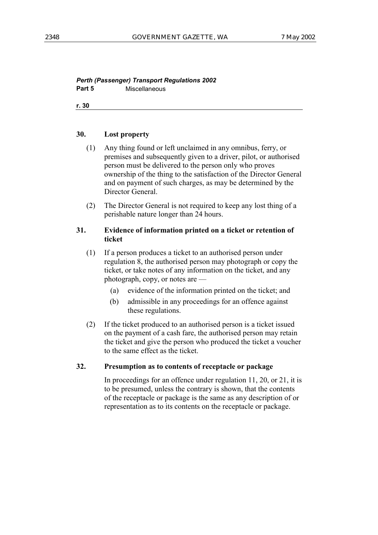## *Perth (Passenger) Transport Regulations 2002* **Part 5** Miscellaneous

**r. 30**

#### **30. Lost property**

- (1) Any thing found or left unclaimed in any omnibus, ferry, or premises and subsequently given to a driver, pilot, or authorised person must be delivered to the person only who proves ownership of the thing to the satisfaction of the Director General and on payment of such charges, as may be determined by the Director General.
- (2) The Director General is not required to keep any lost thing of a perishable nature longer than 24 hours.

#### **31. Evidence of information printed on a ticket or retention of ticket**

- (1) If a person produces a ticket to an authorised person under regulation 8, the authorised person may photograph or copy the ticket, or take notes of any information on the ticket, and any photograph, copy, or notes are  $-$ 
	- (a) evidence of the information printed on the ticket; and
	- (b) admissible in any proceedings for an offence against these regulations.
- (2) If the ticket produced to an authorised person is a ticket issued on the payment of a cash fare, the authorised person may retain the ticket and give the person who produced the ticket a voucher to the same effect as the ticket.

## **32. Presumption as to contents of receptacle or package**

In proceedings for an offence under regulation 11, 20, or 21, it is to be presumed, unless the contrary is shown, that the contents of the receptacle or package is the same as any description of or representation as to its contents on the receptacle or package.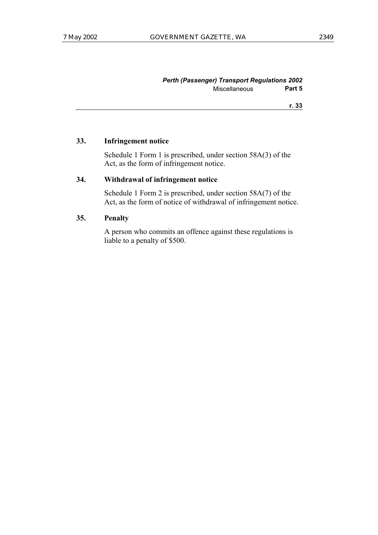#### *Perth (Passenger) Transport Regulations 2002* Miscellaneous **Part 5**

**r. 33**

#### **33. Infringement notice**

Schedule 1 Form 1 is prescribed, under section 58A(3) of the Act, as the form of infringement notice.

## **34. Withdrawal of infringement notice**

Schedule 1 Form 2 is prescribed, under section 58A(7) of the Act, as the form of notice of withdrawal of infringement notice.

#### **35. Penalty**

A person who commits an offence against these regulations is liable to a penalty of \$500.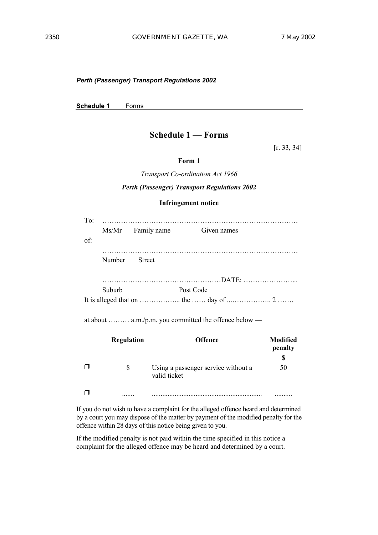**Schedule 1** Forms

## **Schedule 1 – Forms**

[r. 33, 34]

#### **Form 1**

*Transport Co-ordination Act 1966*

#### *Perth (Passenger) Transport Regulations 2002*

#### **Infringement notice**

|        | Ms/Mr Family name | Given names |
|--------|-------------------|-------------|
|        |                   |             |
| Number | <b>Street</b>     |             |
|        |                   |             |
| Suburb |                   | Post Code   |
|        |                   |             |

| <b>Regulation</b> | <b>Offence</b>                      | <b>Modified</b><br>penalty |
|-------------------|-------------------------------------|----------------------------|
| 8                 | Using a passenger service without a | \$<br>50                   |
|                   | valid ticket                        |                            |
|                   |                                     |                            |

If you do not wish to have a complaint for the alleged offence heard and determined by a court you may dispose of the matter by payment of the modified penalty for the offence within 28 days of this notice being given to you.

If the modified penalty is not paid within the time specified in this notice a complaint for the alleged offence may be heard and determined by a court.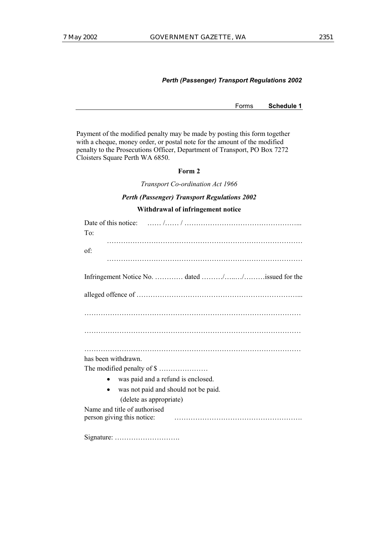Forms **Schedule 1**

Payment of the modified penalty may be made by posting this form together with a cheque, money order, or postal note for the amount of the modified penalty to the Prosecutions Officer, Department of Transport, PO Box 7272 Cloisters Square Perth WA 6850.

#### **Form 2**

*Transport Co-ordination Act 1966*

#### *Perth (Passenger) Transport Regulations 2002*

#### **Withdrawal of infringement notice**

| To:                                             |
|-------------------------------------------------|
|                                                 |
| of:                                             |
|                                                 |
|                                                 |
| Infringement Notice No.  dated //issued for the |
|                                                 |
|                                                 |
|                                                 |
|                                                 |
|                                                 |
|                                                 |
|                                                 |
|                                                 |
| has been withdrawn.                             |
|                                                 |
| was paid and a refund is enclosed.              |
| was not paid and should not be paid.            |
|                                                 |
| (delete as appropriate)                         |
| Name and title of authorised                    |
|                                                 |
|                                                 |
|                                                 |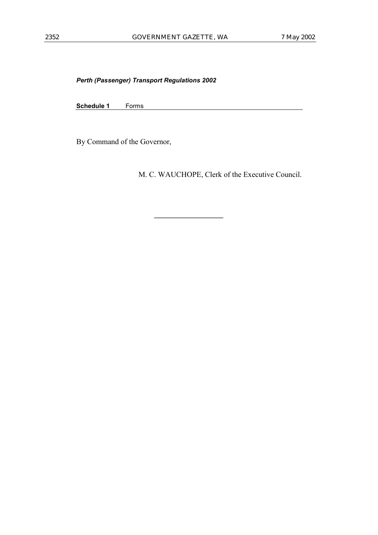**Schedule 1** Forms

By Command of the Governor,

M. C. WAUCHOPE, Clerk of the Executive Council.